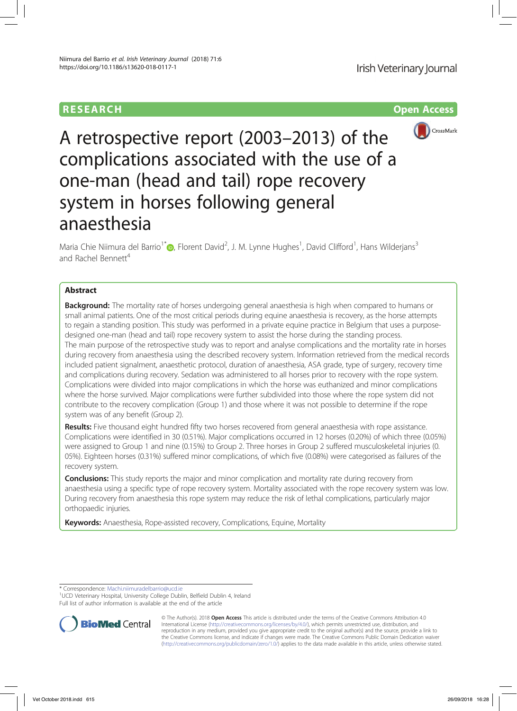# RESEARCH Open Access



A retrospective report (2003–2013) of the complications associated with the use of a one-man (head and tail) rope recovery system in horses following general anaesthesia

Maria Chie Niimura del Barrio<sup>1\*</sup>®, Florent David<sup>2</sup>, J. M. Lynne Hughes<sup>1</sup>, David Clifford<sup>1</sup>, Hans Wilderjans<sup>3</sup> and Rachel Bennett<sup>4</sup>

## Abstract

**Background:** The mortality rate of horses undergoing general anaesthesia is high when compared to humans or small animal patients. One of the most critical periods during equine anaesthesia is recovery, as the horse attempts to regain a standing position. This study was performed in a private equine practice in Belgium that uses a purposedesigned one-man (head and tail) rope recovery system to assist the horse during the standing process. The main purpose of the retrospective study was to report and analyse complications and the mortality rate in horses during recovery from anaesthesia using the described recovery system. Information retrieved from the medical records included patient signalment, anaesthetic protocol, duration of anaesthesia, ASA grade, type of surgery, recovery time and complications during recovery. Sedation was administered to all horses prior to recovery with the rope system. Complications were divided into major complications in which the horse was euthanized and minor complications where the horse survived. Major complications were further subdivided into those where the rope system did not contribute to the recovery complication (Group 1) and those where it was not possible to determine if the rope system was of any benefit (Group 2).

Results: Five thousand eight hundred fifty two horses recovered from general anaesthesia with rope assistance. Complications were identified in 30 (0.51%). Major complications occurred in 12 horses (0.20%) of which three (0.05%) were assigned to Group 1 and nine (0.15%) to Group 2. Three horses in Group 2 suffered musculoskeletal injuries (0. 05%). Eighteen horses (0.31%) suffered minor complications, of which five (0.08%) were categorised as failures of the recovery system.

**Conclusions:** This study reports the major and minor complication and mortality rate during recovery from anaesthesia using a specific type of rope recovery system. Mortality associated with the rope recovery system was low. During recovery from anaesthesia this rope system may reduce the risk of lethal complications, particularly major orthopaedic injuries.

**Keywords:** Anaesthesia, Rope-assisted recovery, Complications, Equine, Mortality

\* Correspondence: Machi.niimuradelbarrio@ucd.ie <sup>1</sup>

<sup>1</sup>UCD Veterinary Hospital, University College Dublin, Belfield Dublin 4, Ireland Full list of author information is available at the end of the article



© The Author(s). 2018 Open Access This article is distributed under the terms of the Creative Commons Attribution 4.0 International License (http://creativecommons.org/licenses/by/4.0/), which permits unrestricted use, distribution, and reproduction in any medium, provided you give appropriate credit to the original author(s) and the source, provide a link to the Creative Commons license, and indicate if changes were made. The Creative Commons Public Domain Dedication waiver (http://creativecommons.org/publicdomain/zero/1.0/) applies to the data made available in this article, unless otherwise stated.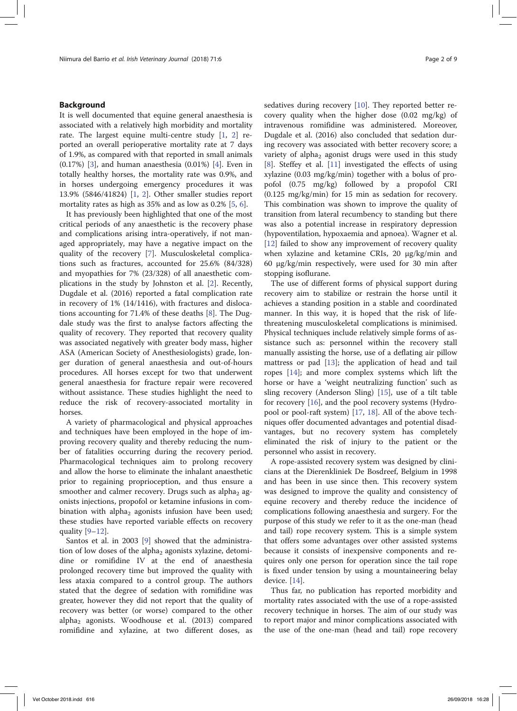## Background

It is well documented that equine general anaesthesia is associated with a relatively high morbidity and mortality rate. The largest equine multi-centre study [1, 2] reported an overall perioperative mortality rate at 7 days of 1.9%, as compared with that reported in small animals (0.17%) [3], and human anaesthesia (0.01%) [4]. Even in totally healthy horses, the mortality rate was 0.9%, and in horses undergoing emergency procedures it was 13.9% (5846/41824) [1, 2]. Other smaller studies report mortality rates as high as 35% and as low as 0.2% [5, 6].

It has previously been highlighted that one of the most critical periods of any anaesthetic is the recovery phase and complications arising intra-operatively, if not managed appropriately, may have a negative impact on the quality of the recovery [7]. Musculoskeletal complications such as fractures, accounted for 25.6% (84/328) and myopathies for 7% (23/328) of all anaesthetic complications in the study by Johnston et al. [2]. Recently, Dugdale et al. (2016) reported a fatal complication rate in recovery of 1% (14/1416), with fractures and dislocations accounting for 71.4% of these deaths [8]. The Dugdale study was the first to analyse factors affecting the quality of recovery. They reported that recovery quality was associated negatively with greater body mass, higher ASA (American Society of Anesthesiologists) grade, longer duration of general anaesthesia and out-of-hours procedures. All horses except for two that underwent general anaesthesia for fracture repair were recovered without assistance. These studies highlight the need to reduce the risk of recovery-associated mortality in horses.

A variety of pharmacological and physical approaches and techniques have been employed in the hope of improving recovery quality and thereby reducing the number of fatalities occurring during the recovery period. Pharmacological techniques aim to prolong recovery and allow the horse to eliminate the inhalant anaesthetic prior to regaining proprioception, and thus ensure a smoother and calmer recovery. Drugs such as alpha<sub>2</sub> agonists injections, propofol or ketamine infusions in combination with alpha<sub>2</sub> agonists infusion have been used; these studies have reported variable effects on recovery quality [9–12].

Santos et al. in 2003 [9] showed that the administration of low doses of the alpha<sub>2</sub> agonists xylazine, detomidine or romifidine IV at the end of anaesthesia prolonged recovery time but improved the quality with less ataxia compared to a control group. The authors stated that the degree of sedation with romifidine was greater, however they did not report that the quality of recovery was better (or worse) compared to the other alpha2 agonists. Woodhouse et al. (2013) compared romifidine and xylazine, at two different doses, as sedatives during recovery [10]. They reported better recovery quality when the higher dose (0.02 mg/kg) of intravenous romifidine was administered. Moreover, Dugdale et al. (2016) also concluded that sedation during recovery was associated with better recovery score; a variety of alpha<sub>2</sub> agonist drugs were used in this study [8]. Steffey et al. [11] investigated the effects of using xylazine (0.03 mg/kg/min) together with a bolus of propofol (0.75 mg/kg) followed by a propofol CRI (0.125 mg/kg/min) for 15 min as sedation for recovery. This combination was shown to improve the quality of transition from lateral recumbency to standing but there was also a potential increase in respiratory depression (hypoventilation, hypoxaemia and apnoea). Wagner et al. [12] failed to show any improvement of recovery quality when xylazine and ketamine CRIs, 20 μg/kg/min and 60 μg/kg/min respectively, were used for 30 min after stopping isoflurane.

The use of different forms of physical support during recovery aim to stabilize or restrain the horse until it achieves a standing position in a stable and coordinated manner. In this way, it is hoped that the risk of lifethreatening musculoskeletal complications is minimised. Physical techniques include relatively simple forms of assistance such as: personnel within the recovery stall manually assisting the horse, use of a deflating air pillow mattress or pad [13]; the application of head and tail ropes [14]; and more complex systems which lift the horse or have a 'weight neutralizing function' such as sling recovery (Anderson Sling) [15], use of a tilt table for recovery [16], and the pool recovery systems (Hydropool or pool-raft system) [17, 18]. All of the above techniques offer documented advantages and potential disadvantages, but no recovery system has completely eliminated the risk of injury to the patient or the personnel who assist in recovery.

A rope-assisted recovery system was designed by clinicians at the Dierenkliniek De Bosdreef, Belgium in 1998 and has been in use since then. This recovery system was designed to improve the quality and consistency of equine recovery and thereby reduce the incidence of complications following anaesthesia and surgery. For the purpose of this study we refer to it as the one-man (head and tail) rope recovery system. This is a simple system that offers some advantages over other assisted systems because it consists of inexpensive components and requires only one person for operation since the tail rope is fixed under tension by using a mountaineering belay device. [14].

Thus far, no publication has reported morbidity and mortality rates associated with the use of a rope-assisted recovery technique in horses. The aim of our study was to report major and minor complications associated with the use of the one-man (head and tail) rope recovery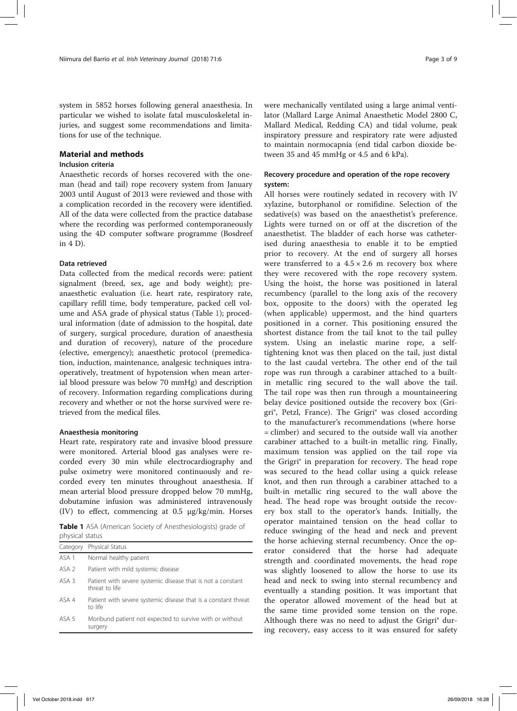system in 5852 horses following general anaesthesia. In particular we wished to isolate fatal musculoskeletal injuries, and suggest some recommendations and limitations for use of the technique.

#### Material and methods

## Inclusion criteria

Anaesthetic records of horses recovered with the oneman (head and tail) rope recovery system from January 2003 until August of 2013 were reviewed and those with a complication recorded in the recovery were identified. All of the data were collected from the practice database where the recording was performed contemporaneously using the 4D computer software programme (Bosdreef in 4 D).

## Data retrieved

Data collected from the medical records were: patient signalment (breed, sex, age and body weight); preanaesthetic evaluation (i.e. heart rate, respiratory rate, capillary refill time, body temperature, packed cell volume and ASA grade of physical status (Table 1); procedural information (date of admission to the hospital, date of surgery, surgical procedure, duration of anaesthesia and duration of recovery), nature of the procedure (elective, emergency); anaesthetic protocol (premedication, induction, maintenance, analgesic techniques intraoperatively, treatment of hypotension when mean arterial blood pressure was below 70 mmHg) and description of recovery. Information regarding complications during recovery and whether or not the horse survived were retrieved from the medical files.

#### Anaesthesia monitoring

Heart rate, respiratory rate and invasive blood pressure were monitored. Arterial blood gas analyses were recorded every 30 min while electrocardiography and pulse oximetry were monitored continuously and recorded every ten minutes throughout anaesthesia. If mean arterial blood pressure dropped below 70 mmHg, dobutamine infusion was administered intravenously (IV) to effect, commencing at 0.5 μg/kg/min. Horses

Table 1 ASA (American Society of Anesthesiologists) grade of physical status

| Category         | Physical Status                                                               |
|------------------|-------------------------------------------------------------------------------|
| ASA 1            | Normal healthy patient                                                        |
| ASA <sub>2</sub> | Patient with mild systemic disease                                            |
| ASA 3            | Patient with severe systemic disease that is not a constant<br>threat to life |
| ASA 4            | Patient with severe systemic disease that is a constant threat<br>to life     |
| ASA 5            | Moribund patient not expected to survive with or without<br>surgery           |

were mechanically ventilated using a large animal ventilator (Mallard Large Animal Anaesthetic Model 2800 C, Mallard Medical, Redding CA) and tidal volume, peak inspiratory pressure and respiratory rate were adjusted to maintain normocapnia (end tidal carbon dioxide between 35 and 45 mmHg or 4.5 and 6 kPa).

## Recovery procedure and operation of the rope recovery system:

All horses were routinely sedated in recovery with IV xylazine, butorphanol or romifidine. Selection of the sedative(s) was based on the anaesthetist's preference. Lights were turned on or off at the discretion of the anaesthetist. The bladder of each horse was catheterised during anaesthesia to enable it to be emptied prior to recovery. At the end of surgery all horses were transferred to a  $4.5 \times 2.6$  m recovery box where they were recovered with the rope recovery system. Using the hoist, the horse was positioned in lateral recumbency (parallel to the long axis of the recovery box, opposite to the doors) with the operated leg (when applicable) uppermost, and the hind quarters positioned in a corner. This positioning ensured the shortest distance from the tail knot to the tail pulley system. Using an inelastic marine rope, a selftightening knot was then placed on the tail, just distal to the last caudal vertebra. The other end of the tail rope was run through a carabiner attached to a builtin metallic ring secured to the wall above the tail. The tail rope was then run through a mountaineering belay device positioned outside the recovery box (Grigri®, Petzl, France). The Grigri® was closed according to the manufacturer's recommendations (where horse = climber) and secured to the outside wall via another carabiner attached to a built-in metallic ring. Finally, maximum tension was applied on the tail rope via the Grigri® in preparation for recovery. The head rope was secured to the head collar using a quick release knot, and then run through a carabiner attached to a built-in metallic ring secured to the wall above the head. The head rope was brought outside the recovery box stall to the operator's hands. Initially, the operator maintained tension on the head collar to reduce swinging of the head and neck and prevent the horse achieving sternal recumbency. Once the operator considered that the horse had adequate strength and coordinated movements, the head rope was slightly loosened to allow the horse to use its head and neck to swing into sternal recumbency and eventually a standing position. It was important that the operator allowed movement of the head but at the same time provided some tension on the rope. Although there was no need to adjust the Grigri® during recovery, easy access to it was ensured for safety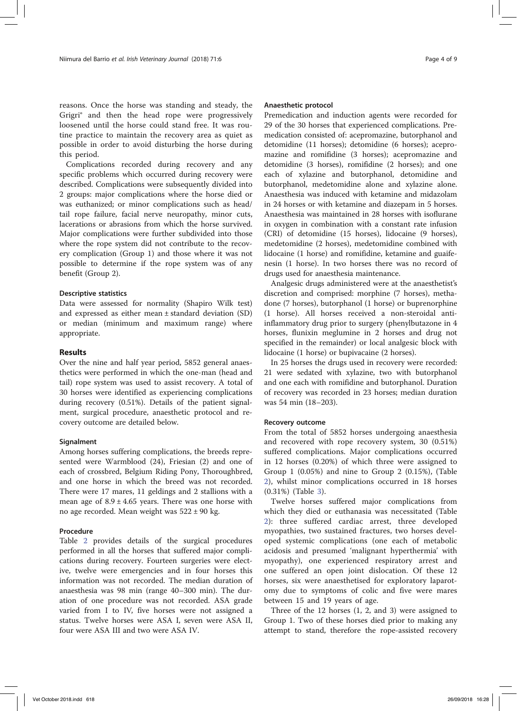reasons. Once the horse was standing and steady, the Grigri® and then the head rope were progressively loosened until the horse could stand free. It was routine practice to maintain the recovery area as quiet as possible in order to avoid disturbing the horse during this period.

Complications recorded during recovery and any specific problems which occurred during recovery were described. Complications were subsequently divided into 2 groups: major complications where the horse died or was euthanized; or minor complications such as head/ tail rope failure, facial nerve neuropathy, minor cuts, lacerations or abrasions from which the horse survived. Major complications were further subdivided into those where the rope system did not contribute to the recovery complication (Group 1) and those where it was not possible to determine if the rope system was of any benefit (Group 2).

#### Descriptive statistics

Data were assessed for normality (Shapiro Wilk test) and expressed as either mean ± standard deviation (SD) or median (minimum and maximum range) where appropriate.

#### Results

Over the nine and half year period, 5852 general anaesthetics were performed in which the one-man (head and tail) rope system was used to assist recovery. A total of 30 horses were identified as experiencing complications during recovery (0.51%). Details of the patient signalment, surgical procedure, anaesthetic protocol and recovery outcome are detailed below.

#### Signalment

Among horses suffering complications, the breeds represented were Warmblood (24), Friesian (2) and one of each of crossbred, Belgium Riding Pony, Thoroughbred, and one horse in which the breed was not recorded. There were 17 mares, 11 geldings and 2 stallions with a mean age of  $8.9 \pm 4.65$  years. There was one horse with no age recorded. Mean weight was  $522 \pm 90$  kg.

#### Procedure

Table 2 provides details of the surgical procedures performed in all the horses that suffered major complications during recovery. Fourteen surgeries were elective, twelve were emergencies and in four horses this information was not recorded. The median duration of anaesthesia was 98 min (range 40–300 min). The duration of one procedure was not recorded. ASA grade varied from I to IV, five horses were not assigned a status. Twelve horses were ASA I, seven were ASA II, four were ASA III and two were ASA IV.

#### Anaesthetic protocol

Premedication and induction agents were recorded for 29 of the 30 horses that experienced complications. Premedication consisted of: acepromazine, butorphanol and detomidine (11 horses); detomidine (6 horses); acepromazine and romifidine (3 horses); acepromazine and detomidine (3 horses), romifidine (2 horses); and one each of xylazine and butorphanol, detomidine and butorphanol, medetomidine alone and xylazine alone. Anaesthesia was induced with ketamine and midazolam in 24 horses or with ketamine and diazepam in 5 horses. Anaesthesia was maintained in 28 horses with isoflurane in oxygen in combination with a constant rate infusion (CRI) of detomidine (15 horses), lidocaine (9 horses), medetomidine (2 horses), medetomidine combined with lidocaine (1 horse) and romifidine, ketamine and guaifenesin (1 horse). In two horses there was no record of drugs used for anaesthesia maintenance.

Analgesic drugs administered were at the anaesthetist's discretion and comprised: morphine (7 horses), methadone (7 horses), butorphanol (1 horse) or buprenorphine (1 horse). All horses received a non-steroidal antiinflammatory drug prior to surgery (phenylbutazone in 4 horses, flunixin meglumine in 2 horses and drug not specified in the remainder) or local analgesic block with lidocaine (1 horse) or bupivacaine (2 horses).

In 25 horses the drugs used in recovery were recorded: 21 were sedated with xylazine, two with butorphanol and one each with romifidine and butorphanol. Duration of recovery was recorded in 23 horses; median duration was 54 min (18–203).

## Recovery outcome

From the total of 5852 horses undergoing anaesthesia and recovered with rope recovery system, 30 (0.51%) suffered complications. Major complications occurred in 12 horses (0.20%) of which three were assigned to Group 1 (0.05%) and nine to Group 2 (0.15%), (Table 2), whilst minor complications occurred in 18 horses (0.31%) (Table 3).

Twelve horses suffered major complications from which they died or euthanasia was necessitated (Table 2): three suffered cardiac arrest, three developed myopathies, two sustained fractures, two horses developed systemic complications (one each of metabolic acidosis and presumed 'malignant hyperthermia' with myopathy), one experienced respiratory arrest and one suffered an open joint dislocation. Of these 12 horses, six were anaesthetised for exploratory laparotomy due to symptoms of colic and five were mares between 15 and 19 years of age.

Three of the 12 horses (1, 2, and 3) were assigned to Group 1. Two of these horses died prior to making any attempt to stand, therefore the rope-assisted recovery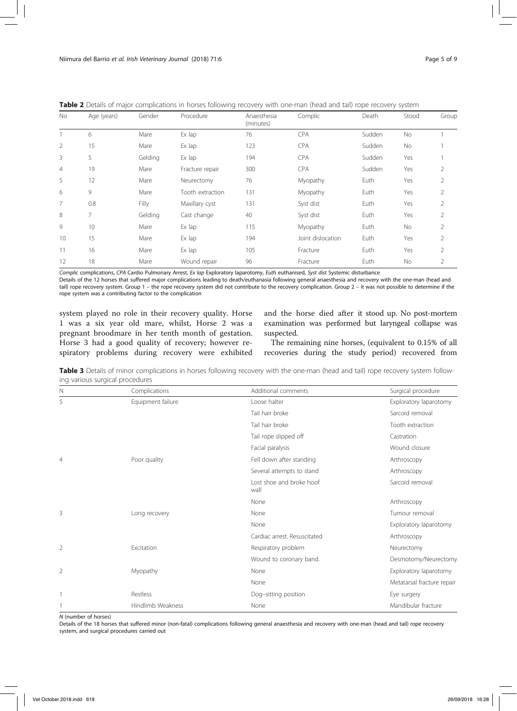| No             | Age (years)    | Gender  | Procedure        | Anaesthesia<br>(minutes) | Complic           | Death  | Stood | Group          |
|----------------|----------------|---------|------------------|--------------------------|-------------------|--------|-------|----------------|
|                | 6              | Mare    | Ex lap           | 76                       | CPA               | Sudden | No    |                |
| 2              | 15             | Mare    | Ex lap           | 123                      | CPA               | Sudden | No    |                |
| 3              | 5              | Gelding | Ex lap           | 194                      | <b>CPA</b>        | Sudden | Yes   |                |
| $\overline{4}$ | 19             | Mare    | Fracture repair  | 300                      | CPA               | Sudden | Yes   | $\overline{2}$ |
| 5              | 12             | Mare    | Neurectomy       | 76                       | Myopathy          | Euth   | Yes   | $\overline{2}$ |
| 6              | 9              | Mare    | Tooth extraction | 131                      | Myopathy          | Euth   | Yes   | 2              |
| 7              | 0.8            | Filly   | Maxillary cyst   | 131                      | Syst dist         | Euth   | Yes   | $\overline{2}$ |
| 8              | $\overline{7}$ | Gelding | Cast change      | 40                       | Syst dist         | Euth   | Yes   | 2              |
| 9              | 10             | Mare    | Ex lap           | 115                      | Myopathy          | Euth   | No.   | $\overline{2}$ |
| 10             | 15             | Mare    | Ex lap           | 194                      | Joint dislocation | Euth   | Yes   | $\overline{2}$ |
| 11             | 16             | Mare    | Ex lap           | 105                      | Fracture          | Euth   | Yes   | $\overline{2}$ |
| 12             | 18             | Mare    | Wound repair     | 96                       | Fracture          | Euth   | No.   | 2              |

Complic complications, CPA Cardio Pulmonary Arrest, Ex lap Exploratory laparotomy, Euth euthanised, Syst dist Systemic disturbance

Details of the 12 horses that suffered major complications leading to death/euthanasia following general anaesthesia and recovery with the one-man (head and tail) rope recovery system. Group 1 – the rope recovery system did not contribute to the recovery complication. Group 2 – it was not possible to determine if the rope system was a contributing factor to the complication

system played no role in their recovery quality. Horse 1 was a six year old mare, whilst, Horse 2 was a pregnant broodmare in her tenth month of gestation. Horse 3 had a good quality of recovery; however respiratory problems during recovery were exhibited and the horse died after it stood up. No post-mortem examination was performed but laryngeal collapse was suspected.

The remaining nine horses, (equivalent to 0.15% of all recoveries during the study period) recovered from

Table 3 Details of minor complications in horses following recovery with the one-man (head and tail) rope recovery system following various surgical procedures

| N              | Complications     | Additional comments              | Surgical procedure         |
|----------------|-------------------|----------------------------------|----------------------------|
| 5              | Equipment failure | Loose halter                     | Exploratory laparotomy     |
|                |                   | Tail hair broke                  | Sarcoid removal            |
|                |                   | Tail hair broke                  | Tooth extraction           |
|                |                   | Tail rope slipped off            | Castration                 |
|                |                   | Facial paralysis                 | Wound closure              |
| $\overline{4}$ | Poor quality      | Fell down after standing         | Arthroscopy                |
|                |                   | Several attempts to stand        | Arthroscopy                |
|                |                   | Lost shoe and broke hoof<br>wall | Sarcoid removal            |
|                |                   | None                             | Arthroscopy                |
| 3              | Long recovery     | None                             | Tumour removal             |
|                |                   | None                             | Exploratory laparotomy     |
|                |                   | Cardiac arrest. Resuscitated     | Arthroscopy                |
| 2              | Excitation        | Respiratory problem              | Neurectomy                 |
|                |                   | Wound to coronary band.          | Desmotomy/Neurectomy       |
| $\overline{2}$ | Myopathy          | None                             | Exploratory laparotomy     |
|                |                   | None                             | Metatarsal fracture repair |
| $\mathbf{1}$   | Restless          | Dog-sitting position             | Eye surgery                |
|                | Hindlimb Weakness | None                             | Mandibular fracture        |

N (number of horses)

Details of the 18 horses that suffered minor (non-fatal) complications following general anaesthesia and recovery with one-man (head and tail) rope recovery system, and surgical procedures carried out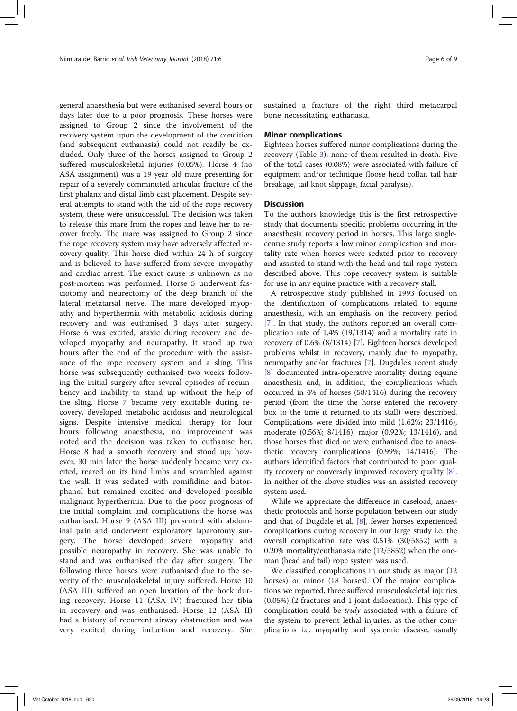general anaesthesia but were euthanised several hours or days later due to a poor prognosis. These horses were assigned to Group 2 since the involvement of the recovery system upon the development of the condition (and subsequent euthanasia) could not readily be excluded. Only three of the horses assigned to Group 2 suffered musculoskeletal injuries (0.05%). Horse 4 (no ASA assignment) was a 19 year old mare presenting for repair of a severely comminuted articular fracture of the first phalanx and distal limb cast placement. Despite several attempts to stand with the aid of the rope recovery system, these were unsuccessful. The decision was taken to release this mare from the ropes and leave her to recover freely. The mare was assigned to Group 2 since the rope recovery system may have adversely affected recovery quality. This horse died within 24 h of surgery and is believed to have suffered from severe myopathy and cardiac arrest. The exact cause is unknown as no post-mortem was performed. Horse 5 underwent fasciotomy and neurectomy of the deep branch of the lateral metatarsal nerve. The mare developed myopathy and hyperthermia with metabolic acidosis during recovery and was euthanised 3 days after surgery. Horse 6 was excited, ataxic during recovery and developed myopathy and neuropathy. It stood up two hours after the end of the procedure with the assistance of the rope recovery system and a sling. This horse was subsequently euthanised two weeks following the initial surgery after several episodes of recumbency and inability to stand up without the help of the sling. Horse 7 became very excitable during recovery, developed metabolic acidosis and neurological signs. Despite intensive medical therapy for four hours following anaesthesia, no improvement was noted and the decision was taken to euthanise her. Horse 8 had a smooth recovery and stood up; however, 30 min later the horse suddenly became very excited, reared on its hind limbs and scrambled against the wall. It was sedated with romifidine and butorphanol but remained excited and developed possible malignant hyperthermia. Due to the poor prognosis of the initial complaint and complications the horse was euthanised. Horse 9 (ASA III) presented with abdominal pain and underwent exploratory laparotomy surgery. The horse developed severe myopathy and possible neuropathy in recovery. She was unable to stand and was euthanised the day after surgery. The following three horses were euthanised due to the severity of the musculoskeletal injury suffered. Horse 10 (ASA III) suffered an open luxation of the hock during recovery. Horse 11 (ASA IV) fractured her tibia in recovery and was euthanised. Horse 12 (ASA II) had a history of recurrent airway obstruction and was very excited during induction and recovery. She

sustained a fracture of the right third metacarpal bone necessitating euthanasia.

## Minor complications

Eighteen horses suffered minor complications during the recovery (Table 3); none of them resulted in death. Five of the total cases (0.08%) were associated with failure of equipment and/or technique (loose head collar, tail hair breakage, tail knot slippage, facial paralysis).

## **Discussion**

To the authors knowledge this is the first retrospective study that documents specific problems occurring in the anaesthesia recovery period in horses. This large singlecentre study reports a low minor complication and mortality rate when horses were sedated prior to recovery and assisted to stand with the head and tail rope system described above. This rope recovery system is suitable for use in any equine practice with a recovery stall.

A retrospective study published in 1993 focused on the identification of complications related to equine anaesthesia, with an emphasis on the recovery period [7]. In that study, the authors reported an overall complication rate of 1.4% (19/1314) and a mortality rate in recovery of 0.6% (8/1314) [7]. Eighteen horses developed problems whilst in recovery, mainly due to myopathy, neuropathy and/or fractures [7]. Dugdale's recent study [8] documented intra-operative mortality during equine anaesthesia and, in addition, the complications which occurred in 4% of horses (58/1416) during the recovery period (from the time the horse entered the recovery box to the time it returned to its stall) were described. Complications were divided into mild (1.62%; 23/1416), moderate (0.56%; 8/1416), major (0.92%; 13/1416), and those horses that died or were euthanised due to anaesthetic recovery complications (0.99%; 14/1416). The authors identified factors that contributed to poor quality recovery or conversely improved recovery quality [8]. In neither of the above studies was an assisted recovery system used.

While we appreciate the difference in caseload, anaesthetic protocols and horse population between our study and that of Dugdale et al. [8], fewer horses experienced complications during recovery in our large study i.e. the overall complication rate was 0.51% (30/5852) with a 0.20% mortality/euthanasia rate (12/5852) when the oneman (head and tail) rope system was used.

We classified complications in our study as major (12 horses) or minor (18 horses). Of the major complications we reported, three suffered musculoskeletal injuries (0.05%) (2 fractures and 1 joint dislocation). This type of complication could be truly associated with a failure of the system to prevent lethal injuries, as the other complications i.e. myopathy and systemic disease, usually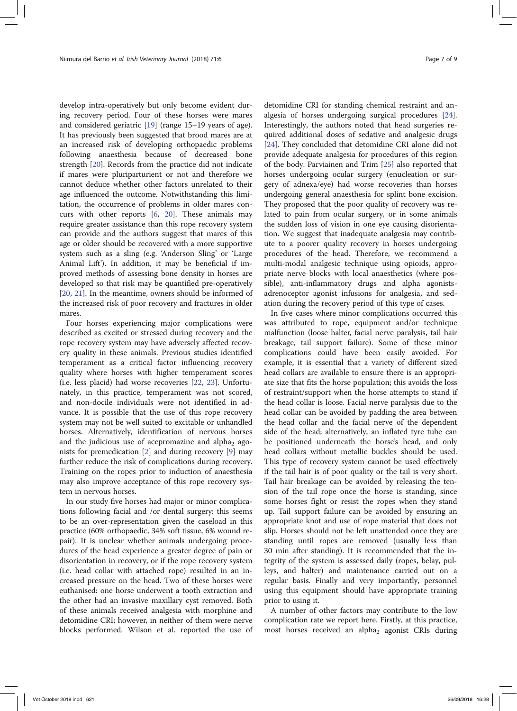develop intra-operatively but only become evident during recovery period. Four of these horses were mares and considered geriatric [19] (range 15–19 years of age). It has previously been suggested that brood mares are at an increased risk of developing orthopaedic problems following anaesthesia because of decreased bone strength [20]. Records from the practice did not indicate if mares were pluriparturient or not and therefore we cannot deduce whether other factors unrelated to their age influenced the outcome. Notwithstanding this limitation, the occurrence of problems in older mares concurs with other reports [6, 20]. These animals may require greater assistance than this rope recovery system can provide and the authors suggest that mares of this age or older should be recovered with a more supportive system such as a sling (e.g. 'Anderson Sling' or 'Large Animal Lift'). In addition, it may be beneficial if improved methods of assessing bone density in horses are developed so that risk may be quantified pre-operatively [20, 21]. In the meantime, owners should be informed of the increased risk of poor recovery and fractures in older mares.

Four horses experiencing major complications were described as excited or stressed during recovery and the rope recovery system may have adversely affected recovery quality in these animals. Previous studies identified temperament as a critical factor influencing recovery quality where horses with higher temperament scores (i.e. less placid) had worse recoveries [22, 23]. Unfortunately, in this practice, temperament was not scored, and non-docile individuals were not identified in advance. It is possible that the use of this rope recovery system may not be well suited to excitable or unhandled horses. Alternatively, identification of nervous horses and the judicious use of acepromazine and alpha<sub>2</sub> agonists for premedication [2] and during recovery [9] may further reduce the risk of complications during recovery. Training on the ropes prior to induction of anaesthesia may also improve acceptance of this rope recovery system in nervous horses.

In our study five horses had major or minor complications following facial and /or dental surgery: this seems to be an over-representation given the caseload in this practice (60% orthopaedic, 34% soft tissue, 6% wound repair). It is unclear whether animals undergoing procedures of the head experience a greater degree of pain or disorientation in recovery, or if the rope recovery system (i.e. head collar with attached rope) resulted in an increased pressure on the head. Two of these horses were euthanised: one horse underwent a tooth extraction and the other had an invasive maxillary cyst removed. Both of these animals received analgesia with morphine and detomidine CRI; however, in neither of them were nerve blocks performed. Wilson et al. reported the use of detomidine CRI for standing chemical restraint and analgesia of horses undergoing surgical procedures [24]. Interestingly, the authors noted that head surgeries required additional doses of sedative and analgesic drugs [24]. They concluded that detomidine CRI alone did not provide adequate analgesia for procedures of this region of the body. Parviainen and Trim [25] also reported that horses undergoing ocular surgery (enucleation or surgery of adnexa/eye) had worse recoveries than horses undergoing general anaesthesia for splint bone excision. They proposed that the poor quality of recovery was related to pain from ocular surgery, or in some animals the sudden loss of vision in one eye causing disorientation. We suggest that inadequate analgesia may contribute to a poorer quality recovery in horses undergoing procedures of the head. Therefore, we recommend a multi-modal analgesic technique using opioids, appropriate nerve blocks with local anaesthetics (where possible), anti-inflammatory drugs and alpha agonistsadrenoceptor agonist infusions for analgesia, and sedation during the recovery period of this type of cases.

In five cases where minor complications occurred this was attributed to rope, equipment and/or technique malfunction (loose halter, facial nerve paralysis, tail hair breakage, tail support failure). Some of these minor complications could have been easily avoided. For example, it is essential that a variety of different sized head collars are available to ensure there is an appropriate size that fits the horse population; this avoids the loss of restraint/support when the horse attempts to stand if the head collar is loose. Facial nerve paralysis due to the head collar can be avoided by padding the area between the head collar and the facial nerve of the dependent side of the head; alternatively, an inflated tyre tube can be positioned underneath the horse's head, and only head collars without metallic buckles should be used. This type of recovery system cannot be used effectively if the tail hair is of poor quality or the tail is very short. Tail hair breakage can be avoided by releasing the tension of the tail rope once the horse is standing, since some horses fight or resist the ropes when they stand up. Tail support failure can be avoided by ensuring an appropriate knot and use of rope material that does not slip. Horses should not be left unattended once they are standing until ropes are removed (usually less than 30 min after standing). It is recommended that the integrity of the system is assessed daily (ropes, belay, pulleys, and halter) and maintenance carried out on a regular basis. Finally and very importantly, personnel using this equipment should have appropriate training prior to using it.

A number of other factors may contribute to the low complication rate we report here. Firstly, at this practice, most horses received an alpha<sub>2</sub> agonist CRIs during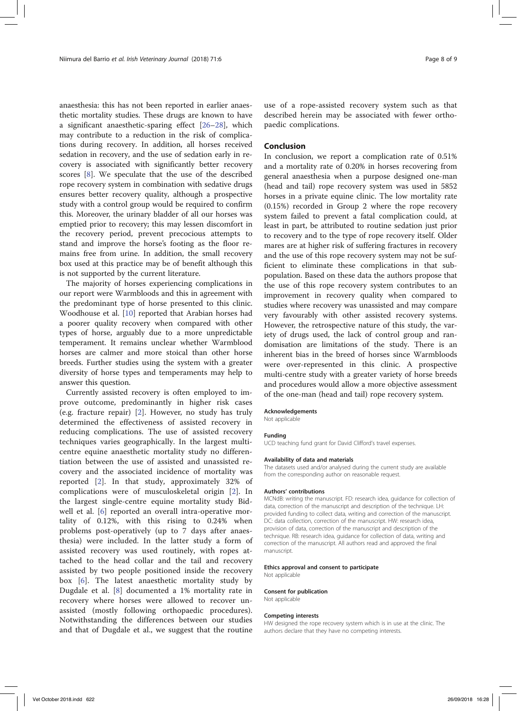anaesthesia: this has not been reported in earlier anaesthetic mortality studies. These drugs are known to have a significant anaesthetic-sparing effect [26–28], which may contribute to a reduction in the risk of complications during recovery. In addition, all horses received sedation in recovery, and the use of sedation early in recovery is associated with significantly better recovery scores [8]. We speculate that the use of the described rope recovery system in combination with sedative drugs ensures better recovery quality, although a prospective study with a control group would be required to confirm this. Moreover, the urinary bladder of all our horses was emptied prior to recovery; this may lessen discomfort in the recovery period, prevent precocious attempts to stand and improve the horse's footing as the floor remains free from urine. In addition, the small recovery box used at this practice may be of benefit although this is not supported by the current literature.

The majority of horses experiencing complications in our report were Warmbloods and this in agreement with the predominant type of horse presented to this clinic. Woodhouse et al. [10] reported that Arabian horses had a poorer quality recovery when compared with other types of horse, arguably due to a more unpredictable temperament. It remains unclear whether Warmblood horses are calmer and more stoical than other horse breeds. Further studies using the system with a greater diversity of horse types and temperaments may help to answer this question.

Currently assisted recovery is often employed to improve outcome, predominantly in higher risk cases (e.g. fracture repair) [2]. However, no study has truly determined the effectiveness of assisted recovery in reducing complications. The use of assisted recovery techniques varies geographically. In the largest multicentre equine anaesthetic mortality study no differentiation between the use of assisted and unassisted recovery and the associated incidence of mortality was reported [2]. In that study, approximately 32% of complications were of musculoskeletal origin [2]. In the largest single-centre equine mortality study Bidwell et al. [6] reported an overall intra-operative mortality of 0.12%, with this rising to 0.24% when problems post-operatively (up to 7 days after anaesthesia) were included. In the latter study a form of assisted recovery was used routinely, with ropes attached to the head collar and the tail and recovery assisted by two people positioned inside the recovery box [6]. The latest anaesthetic mortality study by Dugdale et al. [8] documented a 1% mortality rate in recovery where horses were allowed to recover unassisted (mostly following orthopaedic procedures). Notwithstanding the differences between our studies and that of Dugdale et al., we suggest that the routine

use of a rope-assisted recovery system such as that described herein may be associated with fewer orthopaedic complications.

## Conclusion

In conclusion, we report a complication rate of 0.51% and a mortality rate of 0.20% in horses recovering from general anaesthesia when a purpose designed one-man (head and tail) rope recovery system was used in 5852 horses in a private equine clinic. The low mortality rate (0.15%) recorded in Group 2 where the rope recovery system failed to prevent a fatal complication could, at least in part, be attributed to routine sedation just prior to recovery and to the type of rope recovery itself. Older mares are at higher risk of suffering fractures in recovery and the use of this rope recovery system may not be sufficient to eliminate these complications in that subpopulation. Based on these data the authors propose that the use of this rope recovery system contributes to an improvement in recovery quality when compared to studies where recovery was unassisted and may compare very favourably with other assisted recovery systems. However, the retrospective nature of this study, the variety of drugs used, the lack of control group and randomisation are limitations of the study. There is an inherent bias in the breed of horses since Warmbloods were over-represented in this clinic. A prospective multi-centre study with a greater variety of horse breeds and procedures would allow a more objective assessment of the one-man (head and tail) rope recovery system.

#### Acknowledgements

Not applicable

#### Funding

UCD teaching fund grant for David Clifford's travel expenses.

#### Availability of data and materials

The datasets used and/or analysed during the current study are available from the corresponding author on reasonable request.

#### Authors' contributions

MCNdB: writing the manuscript. FD: research idea, guidance for collection of data, correction of the manuscript and description of the technique. LH: provided funding to collect data, writing and correction of the manuscript. DC: data collection, correction of the manuscript. HW: research idea, provision of data, correction of the manuscript and description of the technique. RB: research idea, guidance for collection of data, writing and correction of the manuscript. All authors read and approved the final manuscript.

#### Ethics approval and consent to participate

Not applicable

#### Consent for publication

Not applicable

#### Competing interests

HW designed the rope recovery system which is in use at the clinic. The authors declare that they have no competing interests.